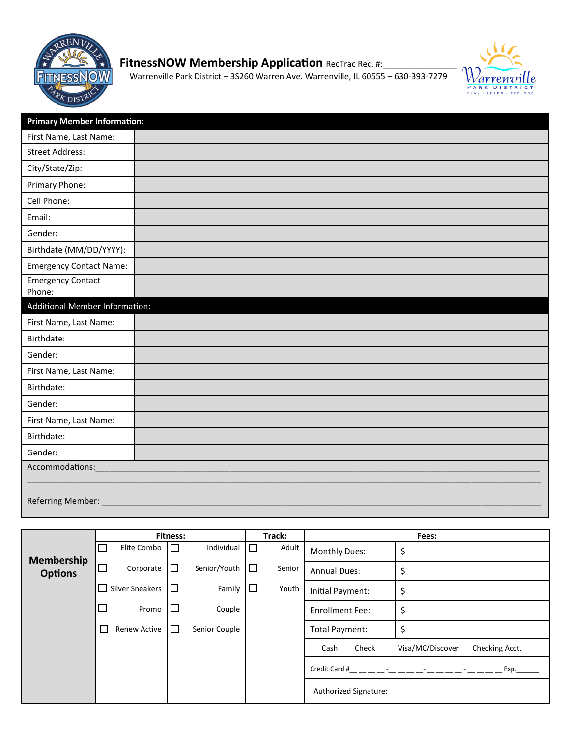

## **FitnessNOW Membership Application** RecTrac Rec. #:\_\_\_\_\_\_\_\_\_\_\_\_\_\_\_\_\_\_\_\_\_\_\_\_\_\_\_\_\_\_\_\_

Warrenville Park District – 3S260 Warren Ave. Warrenville, IL 60555 – 630-393-7279



| <b>Primary Member Information:</b> |  |  |  |  |  |  |
|------------------------------------|--|--|--|--|--|--|
| First Name, Last Name:             |  |  |  |  |  |  |
| <b>Street Address:</b>             |  |  |  |  |  |  |
| City/State/Zip:                    |  |  |  |  |  |  |
| Primary Phone:                     |  |  |  |  |  |  |
| Cell Phone:                        |  |  |  |  |  |  |
| Email:                             |  |  |  |  |  |  |
| Gender:                            |  |  |  |  |  |  |
| Birthdate (MM/DD/YYYY):            |  |  |  |  |  |  |
| <b>Emergency Contact Name:</b>     |  |  |  |  |  |  |
| <b>Emergency Contact</b><br>Phone: |  |  |  |  |  |  |
| Additional Member Information:     |  |  |  |  |  |  |
| First Name, Last Name:             |  |  |  |  |  |  |
| Birthdate:                         |  |  |  |  |  |  |
| Gender:                            |  |  |  |  |  |  |
| First Name, Last Name:             |  |  |  |  |  |  |
| Birthdate:                         |  |  |  |  |  |  |
| Gender:                            |  |  |  |  |  |  |
| First Name, Last Name:             |  |  |  |  |  |  |
| Birthdate:                         |  |  |  |  |  |  |
| Gender:                            |  |  |  |  |  |  |
| Accommodations:                    |  |  |  |  |  |  |
| Referring Member: _                |  |  |  |  |  |  |

|                | <b>Fitness:</b> |                        |        | Track:        |        | Fees:  |                        |                                    |
|----------------|-----------------|------------------------|--------|---------------|--------|--------|------------------------|------------------------------------|
| Membership     | ⊔               | Elite Combo            | $\Box$ | Individual    | $\Box$ | Adult  | <b>Monthly Dues:</b>   | \$                                 |
| <b>Options</b> | $\Box$          | Corporate              | □      | Senior/Youth  | $\Box$ | Senior | <b>Annual Dues:</b>    | \$                                 |
|                | ⊔               | <b>Silver Sneakers</b> | □      | Family        | $\Box$ | Youth  | Initial Payment:       | \$                                 |
|                | $\Box$          | Promo                  | ப      | Couple        |        |        | <b>Enrollment Fee:</b> | \$                                 |
|                |                 | <b>Renew Active</b>    | □      | Senior Couple |        |        | Total Payment:         | \$                                 |
|                |                 |                        |        |               |        |        | Check<br>Cash          | Visa/MC/Discover<br>Checking Acct. |
|                |                 |                        |        |               |        |        | Credit Card #          | Exp.                               |
|                |                 |                        |        |               |        |        | Authorized Signature:  |                                    |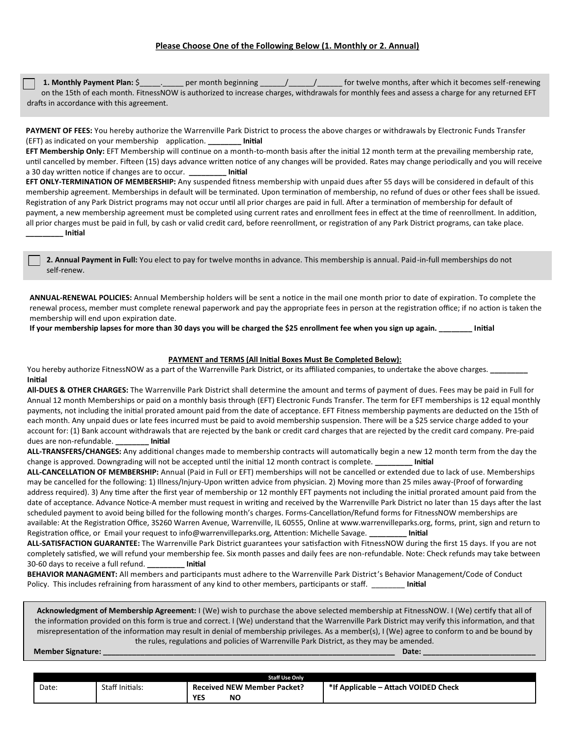**1. Monthly Payment Plan:** \$\_\_\_\_\_\_\_\_\_ per month beginning \_\_\_\_\_/\_\_\_\_\_\_\_\_\_\_ for twelve months, after which it becomes self-renewing on the 15th of each month. FitnessNOW is authorized to increase charges, withdrawals for monthly fees and assess a charge for any returned EFT drafts in accordance with this agreement.

**PAYMENT OF FEES:** You hereby authorize the Warrenville Park District to process the above charges or withdrawals by Electronic Funds Transfer (EFT) as indicated on your membership application. **\_\_\_\_\_\_\_\_ Initial**

**EFT Membership Only:** EFT Membership will continue on a month-to-month basis after the initial 12 month term at the prevailing membership rate, until cancelled by member. Fifteen (15) days advance written notice of any changes will be provided. Rates may change periodically and you will receive a 30 day written notice if changes are to occur. **\_\_\_\_\_\_\_\_\_ Initial**

**EFT ONLY-TERMINATION OF MEMBERSHIP:** Any suspended fitness membership with unpaid dues after 55 days will be considered in default of this membership agreement. Memberships in default will be terminated. Upon termination of membership, no refund of dues or other fees shall be issued. Registration of any Park District programs may not occur until all prior charges are paid in full. After a termination of membership for default of payment, a new membership agreement must be completed using current rates and enrollment fees in effect at the time of reenrollment. In addition, all prior charges must be paid in full, by cash or valid credit card, before reenrollment, or registration of any Park District programs, can take place. **\_\_\_\_\_\_\_\_\_ Initial**

**2. Annual Payment in Full:** You elect to pay for twelve months in advance. This membership is annual. Paid-in-full memberships do not self-renew.

**ANNUAL-RENEWAL POLICIES:** Annual Membership holders will be sent a notice in the mail one month prior to date of expiration. To complete the renewal process, member must complete renewal paperwork and pay the appropriate fees in person at the registration office; if no action is taken the membership will end upon expiration date.

**If your membership lapses for more than 30 days you will be charged the \$25 enrollment fee when you sign up again. \_\_\_\_\_\_\_\_ Initial**

## **PAYMENT and TERMS (All Initial Boxes Must Be Completed Below):**

You hereby authorize FitnessNOW as a part of the Warrenville Park District, or its affiliated companies, to undertake the above charges. **\_\_\_\_\_\_\_\_\_ Initial**

**All-DUES & OTHER CHARGES:** The Warrenville Park District shall determine the amount and terms of payment of dues. Fees may be paid in Full for Annual 12 month Memberships or paid on a monthly basis through (EFT) Electronic Funds Transfer. The term for EFT memberships is 12 equal monthly payments, not including the initial prorated amount paid from the date of acceptance. EFT Fitness membership payments are deducted on the 15th of each month. Any unpaid dues or late fees incurred must be paid to avoid membership suspension. There will be a \$25 service charge added to your account for: (1) Bank account withdrawals that are rejected by the bank or credit card charges that are rejected by the credit card company. Pre-paid dues are non-refundable. **\_\_\_\_\_\_\_\_ Initial**

**ALL-TRANSFERS/CHANGES:** Any additional changes made to membership contracts will automatically begin a new 12 month term from the day the change is approved. Downgrading will not be accepted until the initial 12 month contract is complete. **\_\_\_\_\_\_\_\_\_ Initial** 

**ALL-CANCELLATION OF MEMBERSHIP:** Annual (Paid in Full or EFT) memberships will not be cancelled or extended due to lack of use. Memberships may be cancelled for the following: 1) Illness/Injury-Upon written advice from physician. 2) Moving more than 25 miles away-(Proof of forwarding address required). 3) Any time after the first year of membership or 12 monthly EFT payments not including the initial prorated amount paid from the date of acceptance. Advance Notice-A member must request in writing and received by the Warrenville Park District no later than 15 days after the last scheduled payment to avoid being billed for the following month's charges. Forms-Cancellation/Refund forms for FitnessNOW memberships are available: At the Registration Office, 3S260 Warren Avenue, Warrenville, IL 60555, Online at www.warrenvilleparks.org, forms, print, sign and return to Registration office, or Email your request to info@warrenvilleparks.org, Attention: Michelle Savage. **\_\_\_\_\_\_\_\_\_ Initial**

**ALL-SATISFACTION GUARANTEE:** The Warrenville Park District guarantees your satisfaction with FitnessNOW during the first 15 days. If you are not completely satisfied, we will refund your membership fee. Six month passes and daily fees are non-refundable. Note: Check refunds may take between 30-60 days to receive a full refund. **\_\_\_\_\_\_\_\_\_ Initial**

**BEHAVIOR MANAGMENT:** All members and participants must adhere to the Warrenville Park District's Behavior Management/Code of Conduct Policy. This includes refraining from harassment of any kind to other members, participants or staff. \_\_\_\_\_\_\_\_ **Initial**

**Acknowledgment of Membership Agreement:** I (We) wish to purchase the above selected membership at FitnessNOW. I (We) certify that all of the information provided on this form is true and correct. I (We) understand that the Warrenville Park District may verify this information, and that misrepresentation of the information may result in denial of membership privileges. As a member(s), I (We) agree to conform to and be bound by the rules, regulations and policies of Warrenville Park District, as they may be amended.

**Member Signature: \_\_\_\_\_\_\_\_\_\_\_\_\_\_\_\_\_\_\_\_\_\_\_\_\_\_\_\_\_\_\_\_\_\_\_\_\_\_\_\_\_\_\_\_\_\_\_\_\_\_\_\_\_\_\_\_\_\_\_\_\_\_\_\_\_\_\_\_\_\_ Date: \_\_\_\_\_\_\_\_\_\_\_\_\_\_\_\_\_\_\_\_\_\_\_\_\_\_\_**

|       |                 | <b>Staff Use Only</b>              |                                      |
|-------|-----------------|------------------------------------|--------------------------------------|
| Date: | Staff Initials: | <b>Received NEW Member Packet?</b> | *If Applicable – Attach VOIDED Check |
|       |                 | <b>YES</b><br><b>NC</b>            |                                      |